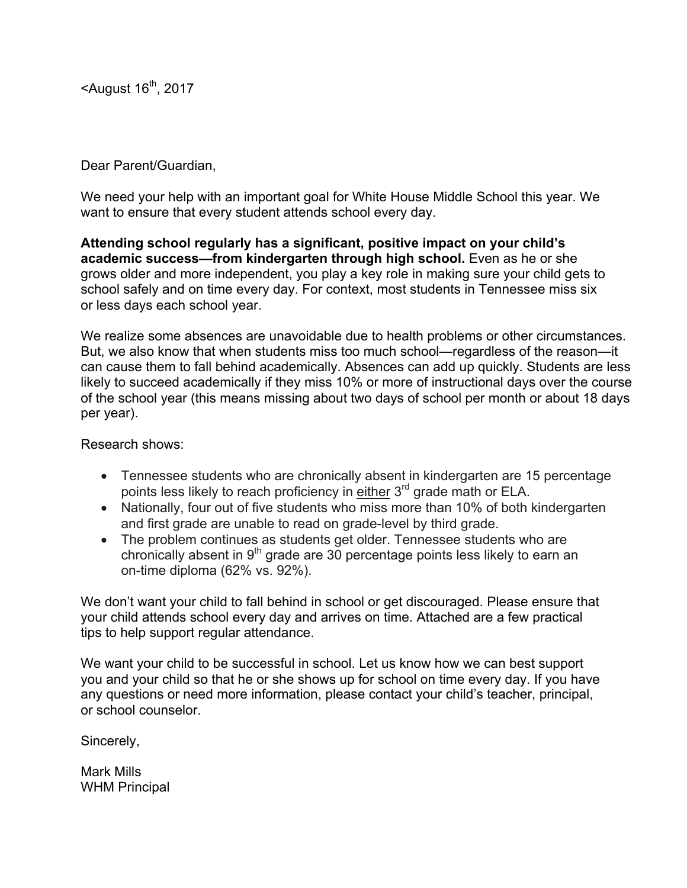$<$ August 16<sup>th</sup>, 2017

## Dear Parent/Guardian,

We need your help with an important goal for White House Middle School this year. We want to ensure that every student attends school every day.

**Attending school regularly has a significant, positive impact on your child's academic success—from kindergarten through high school.** Even as he or she grows older and more independent, you play a key role in making sure your child gets to school safely and on time every day. For context, most students in Tennessee miss six or less days each school year.

We realize some absences are unavoidable due to health problems or other circumstances. But, we also know that when students miss too much school—regardless of the reason—it can cause them to fall behind academically. Absences can add up quickly. Students are less likely to succeed academically if they miss 10% or more of instructional days over the course of the school year (this means missing about two days of school per month or about 18 days per year).

Research shows:

- Tennessee students who are chronically absent in kindergarten are 15 percentage points less likely to reach proficiency in either 3<sup>rd</sup> grade math or ELA.
- Nationally, four out of five students who miss more than 10% of both kindergarten and first grade are unable to read on grade-level by third grade.
- The problem continues as students get older. Tennessee students who are chronically absent in  $9<sup>th</sup>$  grade are 30 percentage points less likely to earn an on-time diploma (62% vs. 92%).

We don't want your child to fall behind in school or get discouraged. Please ensure that your child attends school every day and arrives on time. Attached are a few practical tips to help support regular attendance.

We want your child to be successful in school. Let us know how we can best support you and your child so that he or she shows up for school on time every day. If you have any questions or need more information, please contact your child's teacher, principal, or school counselor.

Sincerely,

Mark Mills WHM Principal